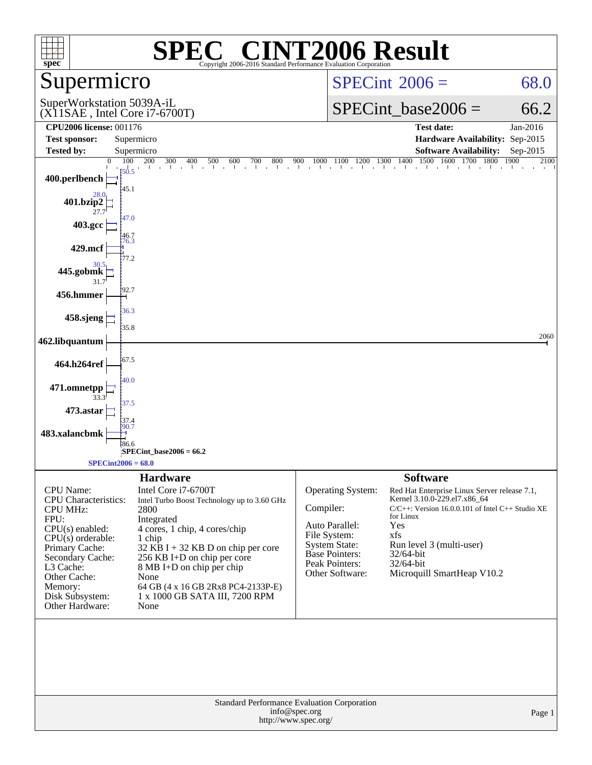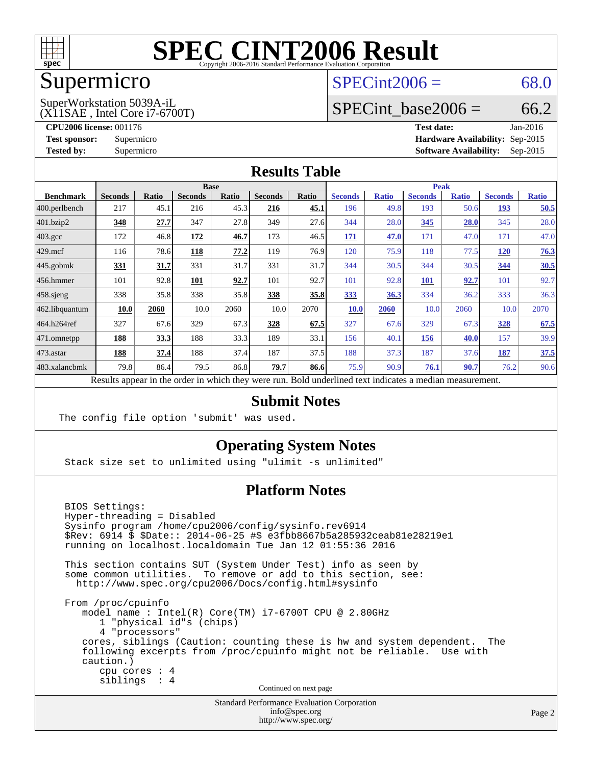

# Supermicro

#### $SPECint2006 = 68.0$  $SPECint2006 = 68.0$

#### (X11SAE , Intel Core i7-6700T) SuperWorkstation 5039A-iL

SPECint base2006 =  $66.2$ 

**[CPU2006 license:](http://www.spec.org/auto/cpu2006/Docs/result-fields.html#CPU2006license)** 001176 **[Test date:](http://www.spec.org/auto/cpu2006/Docs/result-fields.html#Testdate)** Jan-2016

**[Test sponsor:](http://www.spec.org/auto/cpu2006/Docs/result-fields.html#Testsponsor)** Supermicro **[Hardware Availability:](http://www.spec.org/auto/cpu2006/Docs/result-fields.html#HardwareAvailability)** Sep-2015 **[Tested by:](http://www.spec.org/auto/cpu2006/Docs/result-fields.html#Testedby)** Supermicro **Supermicro [Software Availability:](http://www.spec.org/auto/cpu2006/Docs/result-fields.html#SoftwareAvailability)** Sep-2015

#### **[Results Table](http://www.spec.org/auto/cpu2006/Docs/result-fields.html#ResultsTable)**

|                    | <b>Base</b>    |             |                |              |                |                           | <b>Peak</b>         |              |                |              |                |              |
|--------------------|----------------|-------------|----------------|--------------|----------------|---------------------------|---------------------|--------------|----------------|--------------|----------------|--------------|
| <b>Benchmark</b>   | <b>Seconds</b> | Ratio       | <b>Seconds</b> | <b>Ratio</b> | <b>Seconds</b> | <b>Ratio</b>              | <b>Seconds</b>      | <b>Ratio</b> | <b>Seconds</b> | <b>Ratio</b> | <b>Seconds</b> | <b>Ratio</b> |
| 400.perlbench      | 217            | 45.1        | 216            | 45.3         | 216            | 45.1                      | 196                 | 49.8         | 193            | 50.6         | 193            | 50.5         |
| 401.bzip2          | 348            | 27.7        | 347            | 27.8         | 349            | 27.6                      | 344                 | 28.0         | 345            | 28.0         | 345            | 28.0         |
| $403.\mathrm{gcc}$ | 172            | 46.8        | 172            | 46.7         | 173            | 46.5                      | 171                 | 47.0         | 171            | 47.0         | 171            | 47.0         |
| $429$ .mcf         | 116            | 78.6        | 118            | 77.2         | 119            | 76.9                      | 120                 | 75.9         | 118            | 77.5         | <u>120</u>     | 76.3         |
| $445$ .gobmk       | <u>331</u>     | <u>31.7</u> | 331            | 31.7         | 331            | 31.7                      | 344                 | 30.5         | 344            | 30.5         | 344            | 30.5         |
| $456.$ hmmer       | 101            | 92.8        | 101            | 92.7         | 101            | 92.7                      | 101                 | 92.8         | <u>101</u>     | 92.7         | 101            | 92.7         |
| $458$ .sjeng       | 338            | 35.8        | 338            | 35.8         | 338            | 35.8                      | 333                 | 36.3         | 334            | 36.2         | 333            | 36.3         |
| 462.libquantum     | 10.0           | 2060        | 10.0           | 2060         | 10.0           | 2070                      | <b>10.0</b>         | 2060         | 10.0           | 2060         | 10.0           | 2070         |
| 464.h264ref        | 327            | 67.6        | 329            | 67.3         | 328            | 67.5                      | 327                 | 67.6         | 329            | 67.3         | 328            | 67.5         |
| 471.omnetpp        | <b>188</b>     | 33.3        | 188            | 33.3         | 189            | 33.1                      | 156                 | 40.1         | 156            | 40.0         | 157            | 39.9         |
| $473$ . astar      | 188            | 37.4        | 188            | 37.4         | 187            | 37.5                      | 188                 | 37.3         | 187            | 37.6         | 187            | 37.5         |
| 483.xalancbmk      | 79.8           | 86.4        | 79.5           | 86.8         | 79.7           | 86.6                      | 75.9                | 90.9         | 76.1           | 90.7         | 76.2           | 90.6         |
| $\mathbf{r}$       | $\mathbf{1}$ . |             |                | 1.1.1.1      |                | $\mathbf{r}$ $\mathbf{r}$ | 1.1<br>$\mathbf{1}$ | $\cdot$      | $\cdot$        |              |                |              |

Results appear in the [order in which they were run.](http://www.spec.org/auto/cpu2006/Docs/result-fields.html#RunOrder) Bold underlined text [indicates a median measurement.](http://www.spec.org/auto/cpu2006/Docs/result-fields.html#Median)

#### **[Submit Notes](http://www.spec.org/auto/cpu2006/Docs/result-fields.html#SubmitNotes)**

The config file option 'submit' was used.

#### **[Operating System Notes](http://www.spec.org/auto/cpu2006/Docs/result-fields.html#OperatingSystemNotes)**

Stack size set to unlimited using "ulimit -s unlimited"

#### **[Platform Notes](http://www.spec.org/auto/cpu2006/Docs/result-fields.html#PlatformNotes)**

 BIOS Settings: Hyper-threading = Disabled Sysinfo program /home/cpu2006/config/sysinfo.rev6914 \$Rev: 6914 \$ \$Date:: 2014-06-25 #\$ e3fbb8667b5a285932ceab81e28219e1 running on localhost.localdomain Tue Jan 12 01:55:36 2016 This section contains SUT (System Under Test) info as seen by some common utilities. To remove or add to this section, see: <http://www.spec.org/cpu2006/Docs/config.html#sysinfo> From /proc/cpuinfo model name : Intel(R) Core(TM) i7-6700T CPU @ 2.80GHz 1 "physical id"s (chips) 4 "processors" cores, siblings (Caution: counting these is hw and system dependent. The following excerpts from /proc/cpuinfo might not be reliable. Use with caution.) cpu cores : 4 siblings : 4 Continued on next page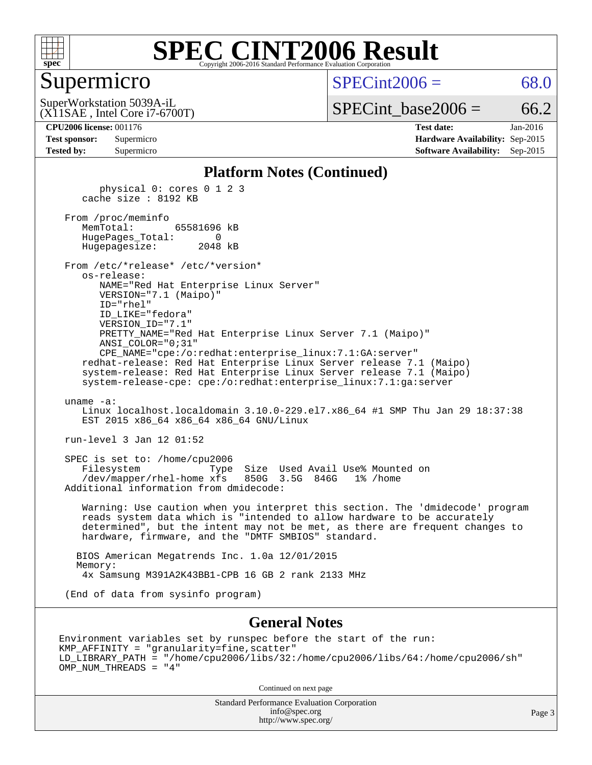

#### Supermicro

 $SPECint2006 = 68.0$  $SPECint2006 = 68.0$ 

(X11SAE , Intel Core i7-6700T) SuperWorkstation 5039A-iL

 $SPECTnt\_base2006 = 66.2$ 

| <b>Test sponsor:</b> | Supermicro |
|----------------------|------------|
| <b>Tested by:</b>    | Supermicro |

**[CPU2006 license:](http://www.spec.org/auto/cpu2006/Docs/result-fields.html#CPU2006license)** 001176 **[Test date:](http://www.spec.org/auto/cpu2006/Docs/result-fields.html#Testdate)** Jan-2016 **[Hardware Availability:](http://www.spec.org/auto/cpu2006/Docs/result-fields.html#HardwareAvailability)** Sep-2015 **[Software Availability:](http://www.spec.org/auto/cpu2006/Docs/result-fields.html#SoftwareAvailability)** Sep-2015

#### **[Platform Notes \(Continued\)](http://www.spec.org/auto/cpu2006/Docs/result-fields.html#PlatformNotes)**

 physical 0: cores 0 1 2 3 cache size : 8192 KB

 From /proc/meminfo MemTotal: 65581696 kB HugePages\_Total: 0 Hugepagesize: 2048 kB

 From /etc/\*release\* /etc/\*version\* os-release: NAME="Red Hat Enterprise Linux Server" VERSION="7.1 (Maipo)"

 ID="rhel" ID\_LIKE="fedora" VERSION\_ID="7.1" PRETTY\_NAME="Red Hat Enterprise Linux Server 7.1 (Maipo)" ANSI\_COLOR="0;31" CPE\_NAME="cpe:/o:redhat:enterprise\_linux:7.1:GA:server"

 redhat-release: Red Hat Enterprise Linux Server release 7.1 (Maipo) system-release: Red Hat Enterprise Linux Server release 7.1 (Maipo) system-release-cpe: cpe:/o:redhat:enterprise\_linux:7.1:ga:server

#### uname -a:

 Linux localhost.localdomain 3.10.0-229.el7.x86\_64 #1 SMP Thu Jan 29 18:37:38 EST 2015 x86 64 x86 64 x86 64 GNU/Linux

run-level 3 Jan 12 01:52

 SPEC is set to: /home/cpu2006 Filesystem Type Size Used Avail Use% Mounted on /dev/mapper/rhel-home xfs 850G 3.5G 846G 1% /home Additional information from dmidecode:

 Warning: Use caution when you interpret this section. The 'dmidecode' program reads system data which is "intended to allow hardware to be accurately determined", but the intent may not be met, as there are frequent changes to hardware, firmware, and the "DMTF SMBIOS" standard.

 BIOS American Megatrends Inc. 1.0a 12/01/2015 Memory: 4x Samsung M391A2K43BB1-CPB 16 GB 2 rank 2133 MHz

(End of data from sysinfo program)

#### **[General Notes](http://www.spec.org/auto/cpu2006/Docs/result-fields.html#GeneralNotes)**

Environment variables set by runspec before the start of the run: KMP\_AFFINITY = "granularity=fine,scatter" LD\_LIBRARY\_PATH = "/home/cpu2006/libs/32:/home/cpu2006/libs/64:/home/cpu2006/sh" OMP\_NUM\_THREADS = "4"

Continued on next page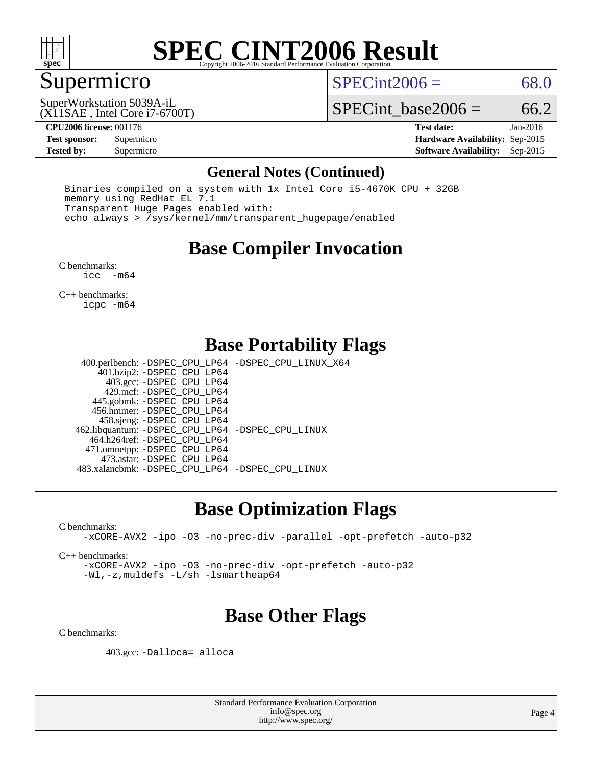

## Supermicro

 $SPECint2006 = 68.0$  $SPECint2006 = 68.0$ 

(X11SAE , Intel Core i7-6700T) SuperWorkstation 5039A-iL

SPECint base2006 =  $66.2$ 

**[CPU2006 license:](http://www.spec.org/auto/cpu2006/Docs/result-fields.html#CPU2006license)** 001176 **[Test date:](http://www.spec.org/auto/cpu2006/Docs/result-fields.html#Testdate)** Jan-2016 **[Test sponsor:](http://www.spec.org/auto/cpu2006/Docs/result-fields.html#Testsponsor)** Supermicro **[Hardware Availability:](http://www.spec.org/auto/cpu2006/Docs/result-fields.html#HardwareAvailability)** Sep-2015 **[Tested by:](http://www.spec.org/auto/cpu2006/Docs/result-fields.html#Testedby)** Supermicro **Supermicro [Software Availability:](http://www.spec.org/auto/cpu2006/Docs/result-fields.html#SoftwareAvailability)** Sep-2015

#### **[General Notes \(Continued\)](http://www.spec.org/auto/cpu2006/Docs/result-fields.html#GeneralNotes)**

 Binaries compiled on a system with 1x Intel Core i5-4670K CPU + 32GB memory using RedHat EL 7.1 Transparent Huge Pages enabled with: echo always > /sys/kernel/mm/transparent\_hugepage/enabled

### **[Base Compiler Invocation](http://www.spec.org/auto/cpu2006/Docs/result-fields.html#BaseCompilerInvocation)**

[C benchmarks](http://www.spec.org/auto/cpu2006/Docs/result-fields.html#Cbenchmarks):  $\text{icc}$  -m64

[C++ benchmarks:](http://www.spec.org/auto/cpu2006/Docs/result-fields.html#CXXbenchmarks) [icpc -m64](http://www.spec.org/cpu2006/results/res2016q1/cpu2006-20160120-38753.flags.html#user_CXXbase_intel_icpc_64bit_fc66a5337ce925472a5c54ad6a0de310)

## **[Base Portability Flags](http://www.spec.org/auto/cpu2006/Docs/result-fields.html#BasePortabilityFlags)**

 400.perlbench: [-DSPEC\\_CPU\\_LP64](http://www.spec.org/cpu2006/results/res2016q1/cpu2006-20160120-38753.flags.html#b400.perlbench_basePORTABILITY_DSPEC_CPU_LP64) [-DSPEC\\_CPU\\_LINUX\\_X64](http://www.spec.org/cpu2006/results/res2016q1/cpu2006-20160120-38753.flags.html#b400.perlbench_baseCPORTABILITY_DSPEC_CPU_LINUX_X64) 401.bzip2: [-DSPEC\\_CPU\\_LP64](http://www.spec.org/cpu2006/results/res2016q1/cpu2006-20160120-38753.flags.html#suite_basePORTABILITY401_bzip2_DSPEC_CPU_LP64) 403.gcc: [-DSPEC\\_CPU\\_LP64](http://www.spec.org/cpu2006/results/res2016q1/cpu2006-20160120-38753.flags.html#suite_basePORTABILITY403_gcc_DSPEC_CPU_LP64) 429.mcf: [-DSPEC\\_CPU\\_LP64](http://www.spec.org/cpu2006/results/res2016q1/cpu2006-20160120-38753.flags.html#suite_basePORTABILITY429_mcf_DSPEC_CPU_LP64) 445.gobmk: [-DSPEC\\_CPU\\_LP64](http://www.spec.org/cpu2006/results/res2016q1/cpu2006-20160120-38753.flags.html#suite_basePORTABILITY445_gobmk_DSPEC_CPU_LP64) 456.hmmer: [-DSPEC\\_CPU\\_LP64](http://www.spec.org/cpu2006/results/res2016q1/cpu2006-20160120-38753.flags.html#suite_basePORTABILITY456_hmmer_DSPEC_CPU_LP64) 458.sjeng: [-DSPEC\\_CPU\\_LP64](http://www.spec.org/cpu2006/results/res2016q1/cpu2006-20160120-38753.flags.html#suite_basePORTABILITY458_sjeng_DSPEC_CPU_LP64) 462.libquantum: [-DSPEC\\_CPU\\_LP64](http://www.spec.org/cpu2006/results/res2016q1/cpu2006-20160120-38753.flags.html#suite_basePORTABILITY462_libquantum_DSPEC_CPU_LP64) [-DSPEC\\_CPU\\_LINUX](http://www.spec.org/cpu2006/results/res2016q1/cpu2006-20160120-38753.flags.html#b462.libquantum_baseCPORTABILITY_DSPEC_CPU_LINUX) 464.h264ref: [-DSPEC\\_CPU\\_LP64](http://www.spec.org/cpu2006/results/res2016q1/cpu2006-20160120-38753.flags.html#suite_basePORTABILITY464_h264ref_DSPEC_CPU_LP64) 471.omnetpp: [-DSPEC\\_CPU\\_LP64](http://www.spec.org/cpu2006/results/res2016q1/cpu2006-20160120-38753.flags.html#suite_basePORTABILITY471_omnetpp_DSPEC_CPU_LP64) 473.astar: [-DSPEC\\_CPU\\_LP64](http://www.spec.org/cpu2006/results/res2016q1/cpu2006-20160120-38753.flags.html#suite_basePORTABILITY473_astar_DSPEC_CPU_LP64) 483.xalancbmk: [-DSPEC\\_CPU\\_LP64](http://www.spec.org/cpu2006/results/res2016q1/cpu2006-20160120-38753.flags.html#suite_basePORTABILITY483_xalancbmk_DSPEC_CPU_LP64) [-DSPEC\\_CPU\\_LINUX](http://www.spec.org/cpu2006/results/res2016q1/cpu2006-20160120-38753.flags.html#b483.xalancbmk_baseCXXPORTABILITY_DSPEC_CPU_LINUX)

#### **[Base Optimization Flags](http://www.spec.org/auto/cpu2006/Docs/result-fields.html#BaseOptimizationFlags)**

[C benchmarks](http://www.spec.org/auto/cpu2006/Docs/result-fields.html#Cbenchmarks):

[-xCORE-AVX2](http://www.spec.org/cpu2006/results/res2016q1/cpu2006-20160120-38753.flags.html#user_CCbase_f-xAVX2_5f5fc0cbe2c9f62c816d3e45806c70d7) [-ipo](http://www.spec.org/cpu2006/results/res2016q1/cpu2006-20160120-38753.flags.html#user_CCbase_f-ipo) [-O3](http://www.spec.org/cpu2006/results/res2016q1/cpu2006-20160120-38753.flags.html#user_CCbase_f-O3) [-no-prec-div](http://www.spec.org/cpu2006/results/res2016q1/cpu2006-20160120-38753.flags.html#user_CCbase_f-no-prec-div) [-parallel](http://www.spec.org/cpu2006/results/res2016q1/cpu2006-20160120-38753.flags.html#user_CCbase_f-parallel) [-opt-prefetch](http://www.spec.org/cpu2006/results/res2016q1/cpu2006-20160120-38753.flags.html#user_CCbase_f-opt-prefetch) [-auto-p32](http://www.spec.org/cpu2006/results/res2016q1/cpu2006-20160120-38753.flags.html#user_CCbase_f-auto-p32)

[C++ benchmarks:](http://www.spec.org/auto/cpu2006/Docs/result-fields.html#CXXbenchmarks)

[-xCORE-AVX2](http://www.spec.org/cpu2006/results/res2016q1/cpu2006-20160120-38753.flags.html#user_CXXbase_f-xAVX2_5f5fc0cbe2c9f62c816d3e45806c70d7) [-ipo](http://www.spec.org/cpu2006/results/res2016q1/cpu2006-20160120-38753.flags.html#user_CXXbase_f-ipo) [-O3](http://www.spec.org/cpu2006/results/res2016q1/cpu2006-20160120-38753.flags.html#user_CXXbase_f-O3) [-no-prec-div](http://www.spec.org/cpu2006/results/res2016q1/cpu2006-20160120-38753.flags.html#user_CXXbase_f-no-prec-div) [-opt-prefetch](http://www.spec.org/cpu2006/results/res2016q1/cpu2006-20160120-38753.flags.html#user_CXXbase_f-opt-prefetch) [-auto-p32](http://www.spec.org/cpu2006/results/res2016q1/cpu2006-20160120-38753.flags.html#user_CXXbase_f-auto-p32) [-Wl,-z,muldefs](http://www.spec.org/cpu2006/results/res2016q1/cpu2006-20160120-38753.flags.html#user_CXXbase_link_force_multiple1_74079c344b956b9658436fd1b6dd3a8a) [-L/sh -lsmartheap64](http://www.spec.org/cpu2006/results/res2016q1/cpu2006-20160120-38753.flags.html#user_CXXbase_SmartHeap64_ed4ef857ce90951921efb0d91eb88472)

## **[Base Other Flags](http://www.spec.org/auto/cpu2006/Docs/result-fields.html#BaseOtherFlags)**

[C benchmarks](http://www.spec.org/auto/cpu2006/Docs/result-fields.html#Cbenchmarks):

403.gcc: [-Dalloca=\\_alloca](http://www.spec.org/cpu2006/results/res2016q1/cpu2006-20160120-38753.flags.html#b403.gcc_baseEXTRA_CFLAGS_Dalloca_be3056838c12de2578596ca5467af7f3)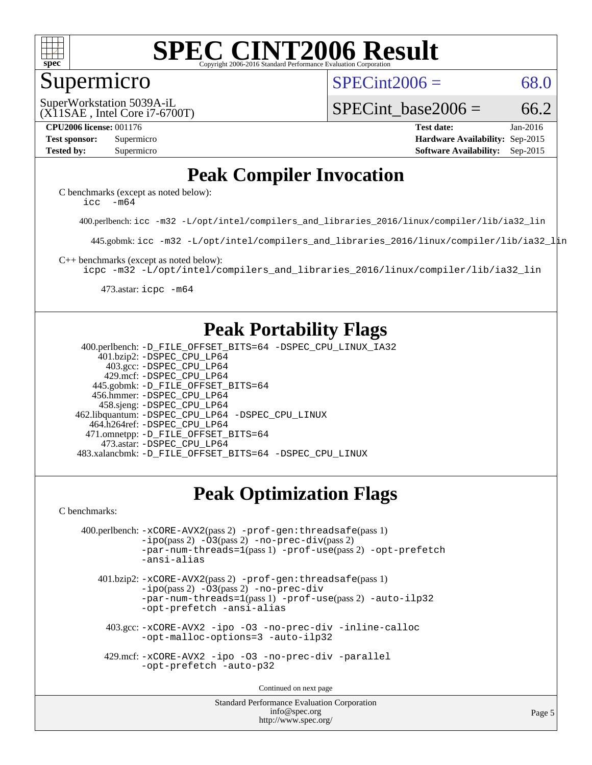

#### Supermicro

 $SPECint2006 = 68.0$  $SPECint2006 = 68.0$ 

(X11SAE , Intel Core i7-6700T) SuperWorkstation 5039A-iL

SPECint base2006 =  $66.2$ 

**[CPU2006 license:](http://www.spec.org/auto/cpu2006/Docs/result-fields.html#CPU2006license)** 001176 **[Test date:](http://www.spec.org/auto/cpu2006/Docs/result-fields.html#Testdate)** Jan-2016 **[Test sponsor:](http://www.spec.org/auto/cpu2006/Docs/result-fields.html#Testsponsor)** Supermicro **[Hardware Availability:](http://www.spec.org/auto/cpu2006/Docs/result-fields.html#HardwareAvailability)** Sep-2015 **[Tested by:](http://www.spec.org/auto/cpu2006/Docs/result-fields.html#Testedby)** Supermicro **Supermicro [Software Availability:](http://www.spec.org/auto/cpu2006/Docs/result-fields.html#SoftwareAvailability)** Sep-2015

## **[Peak Compiler Invocation](http://www.spec.org/auto/cpu2006/Docs/result-fields.html#PeakCompilerInvocation)**

[C benchmarks \(except as noted below\)](http://www.spec.org/auto/cpu2006/Docs/result-fields.html#Cbenchmarksexceptasnotedbelow): [icc -m64](http://www.spec.org/cpu2006/results/res2016q1/cpu2006-20160120-38753.flags.html#user_CCpeak_intel_icc_64bit_f346026e86af2a669e726fe758c88044)

400.perlbench: [icc -m32 -L/opt/intel/compilers\\_and\\_libraries\\_2016/linux/compiler/lib/ia32\\_lin](http://www.spec.org/cpu2006/results/res2016q1/cpu2006-20160120-38753.flags.html#user_peakCCLD400_perlbench_intel_icc_e10256ba5924b668798078a321b0cb3f)

445.gobmk: [icc -m32 -L/opt/intel/compilers\\_and\\_libraries\\_2016/linux/compiler/lib/ia32\\_lin](http://www.spec.org/cpu2006/results/res2016q1/cpu2006-20160120-38753.flags.html#user_peakCCLD445_gobmk_intel_icc_e10256ba5924b668798078a321b0cb3f)

[C++ benchmarks \(except as noted below\):](http://www.spec.org/auto/cpu2006/Docs/result-fields.html#CXXbenchmarksexceptasnotedbelow)

[icpc -m32 -L/opt/intel/compilers\\_and\\_libraries\\_2016/linux/compiler/lib/ia32\\_lin](http://www.spec.org/cpu2006/results/res2016q1/cpu2006-20160120-38753.flags.html#user_CXXpeak_intel_icpc_b4f50a394bdb4597aa5879c16bc3f5c5)

473.astar: [icpc -m64](http://www.spec.org/cpu2006/results/res2016q1/cpu2006-20160120-38753.flags.html#user_peakCXXLD473_astar_intel_icpc_64bit_fc66a5337ce925472a5c54ad6a0de310)

### **[Peak Portability Flags](http://www.spec.org/auto/cpu2006/Docs/result-fields.html#PeakPortabilityFlags)**

 400.perlbench: [-D\\_FILE\\_OFFSET\\_BITS=64](http://www.spec.org/cpu2006/results/res2016q1/cpu2006-20160120-38753.flags.html#user_peakPORTABILITY400_perlbench_file_offset_bits_64_438cf9856305ebd76870a2c6dc2689ab) [-DSPEC\\_CPU\\_LINUX\\_IA32](http://www.spec.org/cpu2006/results/res2016q1/cpu2006-20160120-38753.flags.html#b400.perlbench_peakCPORTABILITY_DSPEC_CPU_LINUX_IA32) 401.bzip2: [-DSPEC\\_CPU\\_LP64](http://www.spec.org/cpu2006/results/res2016q1/cpu2006-20160120-38753.flags.html#suite_peakPORTABILITY401_bzip2_DSPEC_CPU_LP64) 403.gcc: [-DSPEC\\_CPU\\_LP64](http://www.spec.org/cpu2006/results/res2016q1/cpu2006-20160120-38753.flags.html#suite_peakPORTABILITY403_gcc_DSPEC_CPU_LP64) 429.mcf: [-DSPEC\\_CPU\\_LP64](http://www.spec.org/cpu2006/results/res2016q1/cpu2006-20160120-38753.flags.html#suite_peakPORTABILITY429_mcf_DSPEC_CPU_LP64) 445.gobmk: [-D\\_FILE\\_OFFSET\\_BITS=64](http://www.spec.org/cpu2006/results/res2016q1/cpu2006-20160120-38753.flags.html#user_peakPORTABILITY445_gobmk_file_offset_bits_64_438cf9856305ebd76870a2c6dc2689ab) 456.hmmer: [-DSPEC\\_CPU\\_LP64](http://www.spec.org/cpu2006/results/res2016q1/cpu2006-20160120-38753.flags.html#suite_peakPORTABILITY456_hmmer_DSPEC_CPU_LP64) 458.sjeng: [-DSPEC\\_CPU\\_LP64](http://www.spec.org/cpu2006/results/res2016q1/cpu2006-20160120-38753.flags.html#suite_peakPORTABILITY458_sjeng_DSPEC_CPU_LP64) 462.libquantum: [-DSPEC\\_CPU\\_LP64](http://www.spec.org/cpu2006/results/res2016q1/cpu2006-20160120-38753.flags.html#suite_peakPORTABILITY462_libquantum_DSPEC_CPU_LP64) [-DSPEC\\_CPU\\_LINUX](http://www.spec.org/cpu2006/results/res2016q1/cpu2006-20160120-38753.flags.html#b462.libquantum_peakCPORTABILITY_DSPEC_CPU_LINUX) 464.h264ref: [-DSPEC\\_CPU\\_LP64](http://www.spec.org/cpu2006/results/res2016q1/cpu2006-20160120-38753.flags.html#suite_peakPORTABILITY464_h264ref_DSPEC_CPU_LP64) 471.omnetpp: [-D\\_FILE\\_OFFSET\\_BITS=64](http://www.spec.org/cpu2006/results/res2016q1/cpu2006-20160120-38753.flags.html#user_peakPORTABILITY471_omnetpp_file_offset_bits_64_438cf9856305ebd76870a2c6dc2689ab) 473.astar: [-DSPEC\\_CPU\\_LP64](http://www.spec.org/cpu2006/results/res2016q1/cpu2006-20160120-38753.flags.html#suite_peakPORTABILITY473_astar_DSPEC_CPU_LP64) 483.xalancbmk: [-D\\_FILE\\_OFFSET\\_BITS=64](http://www.spec.org/cpu2006/results/res2016q1/cpu2006-20160120-38753.flags.html#user_peakPORTABILITY483_xalancbmk_file_offset_bits_64_438cf9856305ebd76870a2c6dc2689ab) [-DSPEC\\_CPU\\_LINUX](http://www.spec.org/cpu2006/results/res2016q1/cpu2006-20160120-38753.flags.html#b483.xalancbmk_peakCXXPORTABILITY_DSPEC_CPU_LINUX)

## **[Peak Optimization Flags](http://www.spec.org/auto/cpu2006/Docs/result-fields.html#PeakOptimizationFlags)**

[C benchmarks](http://www.spec.org/auto/cpu2006/Docs/result-fields.html#Cbenchmarks):

```
 400.perlbench: -xCORE-AVX2(pass 2) -prof-gen:threadsafe(pass 1)
   -i\text{po}(pass 2) -\overline{0}3(pass 2)-no-prec-div(pass 2)
   -par-num-threads=1(pass 1) -prof-use(pass 2) -opt-prefetch
   -ansi-alias
```
 401.bzip2: [-xCORE-AVX2](http://www.spec.org/cpu2006/results/res2016q1/cpu2006-20160120-38753.flags.html#user_peakPASS2_CFLAGSPASS2_LDCFLAGS401_bzip2_f-xAVX2_5f5fc0cbe2c9f62c816d3e45806c70d7)(pass 2) [-prof-gen:threadsafe](http://www.spec.org/cpu2006/results/res2016q1/cpu2006-20160120-38753.flags.html#user_peakPASS1_CFLAGSPASS1_LDCFLAGS401_bzip2_prof_gen_21a26eb79f378b550acd7bec9fe4467a)(pass 1)  $-i\text{po}(pass 2) -03(pass 2) -no-prec-div$  $-i\text{po}(pass 2) -03(pass 2) -no-prec-div$ [-par-num-threads=1](http://www.spec.org/cpu2006/results/res2016q1/cpu2006-20160120-38753.flags.html#user_peakPASS1_CFLAGSPASS1_LDCFLAGS401_bzip2_par_num_threads_786a6ff141b4e9e90432e998842df6c2)(pass 1) [-prof-use](http://www.spec.org/cpu2006/results/res2016q1/cpu2006-20160120-38753.flags.html#user_peakPASS2_CFLAGSPASS2_LDCFLAGS401_bzip2_prof_use_bccf7792157ff70d64e32fe3e1250b55)(pass 2) [-auto-ilp32](http://www.spec.org/cpu2006/results/res2016q1/cpu2006-20160120-38753.flags.html#user_peakCOPTIMIZE401_bzip2_f-auto-ilp32) [-opt-prefetch](http://www.spec.org/cpu2006/results/res2016q1/cpu2006-20160120-38753.flags.html#user_peakCOPTIMIZE401_bzip2_f-opt-prefetch) [-ansi-alias](http://www.spec.org/cpu2006/results/res2016q1/cpu2006-20160120-38753.flags.html#user_peakCOPTIMIZE401_bzip2_f-ansi-alias)

 403.gcc: [-xCORE-AVX2](http://www.spec.org/cpu2006/results/res2016q1/cpu2006-20160120-38753.flags.html#user_peakCOPTIMIZE403_gcc_f-xAVX2_5f5fc0cbe2c9f62c816d3e45806c70d7) [-ipo](http://www.spec.org/cpu2006/results/res2016q1/cpu2006-20160120-38753.flags.html#user_peakCOPTIMIZE403_gcc_f-ipo) [-O3](http://www.spec.org/cpu2006/results/res2016q1/cpu2006-20160120-38753.flags.html#user_peakCOPTIMIZE403_gcc_f-O3) [-no-prec-div](http://www.spec.org/cpu2006/results/res2016q1/cpu2006-20160120-38753.flags.html#user_peakCOPTIMIZE403_gcc_f-no-prec-div) [-inline-calloc](http://www.spec.org/cpu2006/results/res2016q1/cpu2006-20160120-38753.flags.html#user_peakCOPTIMIZE403_gcc_f-inline-calloc) [-opt-malloc-options=3](http://www.spec.org/cpu2006/results/res2016q1/cpu2006-20160120-38753.flags.html#user_peakCOPTIMIZE403_gcc_f-opt-malloc-options_13ab9b803cf986b4ee62f0a5998c2238) [-auto-ilp32](http://www.spec.org/cpu2006/results/res2016q1/cpu2006-20160120-38753.flags.html#user_peakCOPTIMIZE403_gcc_f-auto-ilp32)

 429.mcf: [-xCORE-AVX2](http://www.spec.org/cpu2006/results/res2016q1/cpu2006-20160120-38753.flags.html#user_peakCOPTIMIZE429_mcf_f-xAVX2_5f5fc0cbe2c9f62c816d3e45806c70d7) [-ipo](http://www.spec.org/cpu2006/results/res2016q1/cpu2006-20160120-38753.flags.html#user_peakCOPTIMIZE429_mcf_f-ipo) [-O3](http://www.spec.org/cpu2006/results/res2016q1/cpu2006-20160120-38753.flags.html#user_peakCOPTIMIZE429_mcf_f-O3) [-no-prec-div](http://www.spec.org/cpu2006/results/res2016q1/cpu2006-20160120-38753.flags.html#user_peakCOPTIMIZE429_mcf_f-no-prec-div) [-parallel](http://www.spec.org/cpu2006/results/res2016q1/cpu2006-20160120-38753.flags.html#user_peakCOPTIMIZE429_mcf_f-parallel) [-opt-prefetch](http://www.spec.org/cpu2006/results/res2016q1/cpu2006-20160120-38753.flags.html#user_peakCOPTIMIZE429_mcf_f-opt-prefetch) [-auto-p32](http://www.spec.org/cpu2006/results/res2016q1/cpu2006-20160120-38753.flags.html#user_peakCOPTIMIZE429_mcf_f-auto-p32)

Continued on next page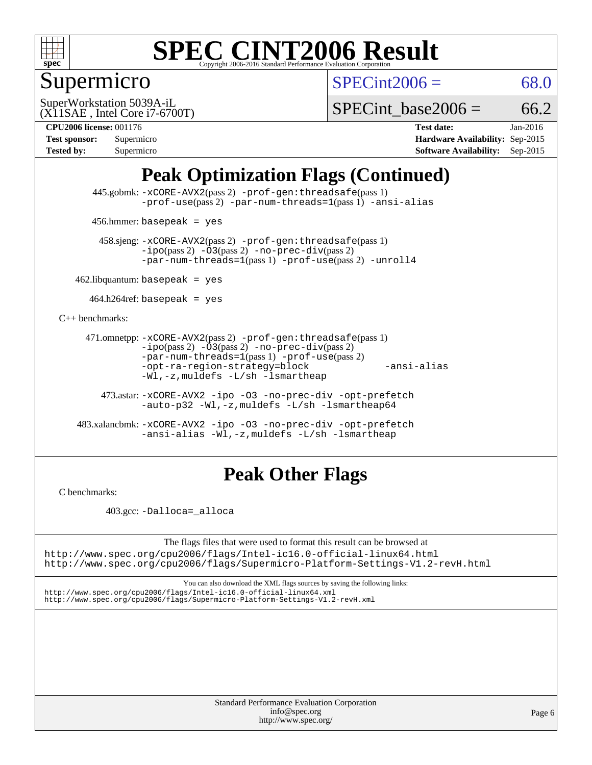

# Supermicro

 $SPECint2006 = 68.0$  $SPECint2006 = 68.0$ 

(X11SAE , Intel Core i7-6700T) SuperWorkstation 5039A-iL

SPECint base2006 =  $66.2$ 

**[CPU2006 license:](http://www.spec.org/auto/cpu2006/Docs/result-fields.html#CPU2006license)** 001176 **[Test date:](http://www.spec.org/auto/cpu2006/Docs/result-fields.html#Testdate)** Jan-2016 **[Test sponsor:](http://www.spec.org/auto/cpu2006/Docs/result-fields.html#Testsponsor)** Supermicro **[Hardware Availability:](http://www.spec.org/auto/cpu2006/Docs/result-fields.html#HardwareAvailability)** Sep-2015 **[Tested by:](http://www.spec.org/auto/cpu2006/Docs/result-fields.html#Testedby)** Supermicro **Supermicro [Software Availability:](http://www.spec.org/auto/cpu2006/Docs/result-fields.html#SoftwareAvailability)** Sep-2015

## **[Peak Optimization Flags \(Continued\)](http://www.spec.org/auto/cpu2006/Docs/result-fields.html#PeakOptimizationFlags)**

 445.gobmk: [-xCORE-AVX2](http://www.spec.org/cpu2006/results/res2016q1/cpu2006-20160120-38753.flags.html#user_peakPASS2_CFLAGSPASS2_LDCFLAGS445_gobmk_f-xAVX2_5f5fc0cbe2c9f62c816d3e45806c70d7)(pass 2) [-prof-gen:threadsafe](http://www.spec.org/cpu2006/results/res2016q1/cpu2006-20160120-38753.flags.html#user_peakPASS1_CFLAGSPASS1_LDCFLAGS445_gobmk_prof_gen_21a26eb79f378b550acd7bec9fe4467a)(pass 1) [-prof-use](http://www.spec.org/cpu2006/results/res2016q1/cpu2006-20160120-38753.flags.html#user_peakPASS2_CFLAGSPASS2_LDCFLAGS445_gobmk_prof_use_bccf7792157ff70d64e32fe3e1250b55)(pass 2) [-par-num-threads=1](http://www.spec.org/cpu2006/results/res2016q1/cpu2006-20160120-38753.flags.html#user_peakPASS1_CFLAGSPASS1_LDCFLAGS445_gobmk_par_num_threads_786a6ff141b4e9e90432e998842df6c2)(pass 1) [-ansi-alias](http://www.spec.org/cpu2006/results/res2016q1/cpu2006-20160120-38753.flags.html#user_peakCOPTIMIZE445_gobmk_f-ansi-alias)

456.hmmer: basepeak = yes

 458.sjeng: [-xCORE-AVX2](http://www.spec.org/cpu2006/results/res2016q1/cpu2006-20160120-38753.flags.html#user_peakPASS2_CFLAGSPASS2_LDCFLAGS458_sjeng_f-xAVX2_5f5fc0cbe2c9f62c816d3e45806c70d7)(pass 2) [-prof-gen:threadsafe](http://www.spec.org/cpu2006/results/res2016q1/cpu2006-20160120-38753.flags.html#user_peakPASS1_CFLAGSPASS1_LDCFLAGS458_sjeng_prof_gen_21a26eb79f378b550acd7bec9fe4467a)(pass 1)  $-ipo(pass 2) -\overline{03(pass 2)}$  $-ipo(pass 2) -\overline{03(pass 2)}$  [-no-prec-div](http://www.spec.org/cpu2006/results/res2016q1/cpu2006-20160120-38753.flags.html#user_peakPASS2_CFLAGSPASS2_LDCFLAGS458_sjeng_f-no-prec-div)(pass 2) [-par-num-threads=1](http://www.spec.org/cpu2006/results/res2016q1/cpu2006-20160120-38753.flags.html#user_peakPASS1_CFLAGSPASS1_LDCFLAGS458_sjeng_par_num_threads_786a6ff141b4e9e90432e998842df6c2)(pass 1) [-prof-use](http://www.spec.org/cpu2006/results/res2016q1/cpu2006-20160120-38753.flags.html#user_peakPASS2_CFLAGSPASS2_LDCFLAGS458_sjeng_prof_use_bccf7792157ff70d64e32fe3e1250b55)(pass 2) [-unroll4](http://www.spec.org/cpu2006/results/res2016q1/cpu2006-20160120-38753.flags.html#user_peakCOPTIMIZE458_sjeng_f-unroll_4e5e4ed65b7fd20bdcd365bec371b81f)

 $462$ .libquantum: basepeak = yes

 $464.h264$ ref: basepeak = yes

[C++ benchmarks:](http://www.spec.org/auto/cpu2006/Docs/result-fields.html#CXXbenchmarks)

```
 471.omnetpp: -xCORE-AVX2(pass 2) -prof-gen:threadsafe(pass 1)
-i\text{po}(pass 2) -03(pass 2) -no-prec-div(pass 2)-par-num-threads=1(pass 1) -prof-use(pass 2)
-opt-ra-region-strategy=block -ansi-alias
-Wl,-z,muldefs -L/sh -lsmartheap
```
 473.astar: [-xCORE-AVX2](http://www.spec.org/cpu2006/results/res2016q1/cpu2006-20160120-38753.flags.html#user_peakCXXOPTIMIZE473_astar_f-xAVX2_5f5fc0cbe2c9f62c816d3e45806c70d7) [-ipo](http://www.spec.org/cpu2006/results/res2016q1/cpu2006-20160120-38753.flags.html#user_peakCXXOPTIMIZE473_astar_f-ipo) [-O3](http://www.spec.org/cpu2006/results/res2016q1/cpu2006-20160120-38753.flags.html#user_peakCXXOPTIMIZE473_astar_f-O3) [-no-prec-div](http://www.spec.org/cpu2006/results/res2016q1/cpu2006-20160120-38753.flags.html#user_peakCXXOPTIMIZE473_astar_f-no-prec-div) [-opt-prefetch](http://www.spec.org/cpu2006/results/res2016q1/cpu2006-20160120-38753.flags.html#user_peakCXXOPTIMIZE473_astar_f-opt-prefetch) [-auto-p32](http://www.spec.org/cpu2006/results/res2016q1/cpu2006-20160120-38753.flags.html#user_peakCXXOPTIMIZE473_astar_f-auto-p32) [-Wl,-z,muldefs](http://www.spec.org/cpu2006/results/res2016q1/cpu2006-20160120-38753.flags.html#user_peakEXTRA_LDFLAGS473_astar_link_force_multiple1_74079c344b956b9658436fd1b6dd3a8a) [-L/sh -lsmartheap64](http://www.spec.org/cpu2006/results/res2016q1/cpu2006-20160120-38753.flags.html#user_peakEXTRA_LIBS473_astar_SmartHeap64_ed4ef857ce90951921efb0d91eb88472)

 483.xalancbmk: [-xCORE-AVX2](http://www.spec.org/cpu2006/results/res2016q1/cpu2006-20160120-38753.flags.html#user_peakCXXOPTIMIZE483_xalancbmk_f-xAVX2_5f5fc0cbe2c9f62c816d3e45806c70d7) [-ipo](http://www.spec.org/cpu2006/results/res2016q1/cpu2006-20160120-38753.flags.html#user_peakCXXOPTIMIZE483_xalancbmk_f-ipo) [-O3](http://www.spec.org/cpu2006/results/res2016q1/cpu2006-20160120-38753.flags.html#user_peakCXXOPTIMIZE483_xalancbmk_f-O3) [-no-prec-div](http://www.spec.org/cpu2006/results/res2016q1/cpu2006-20160120-38753.flags.html#user_peakCXXOPTIMIZE483_xalancbmk_f-no-prec-div) [-opt-prefetch](http://www.spec.org/cpu2006/results/res2016q1/cpu2006-20160120-38753.flags.html#user_peakCXXOPTIMIZE483_xalancbmk_f-opt-prefetch) [-ansi-alias](http://www.spec.org/cpu2006/results/res2016q1/cpu2006-20160120-38753.flags.html#user_peakCXXOPTIMIZE483_xalancbmk_f-ansi-alias) [-Wl,-z,muldefs](http://www.spec.org/cpu2006/results/res2016q1/cpu2006-20160120-38753.flags.html#user_peakEXTRA_LDFLAGS483_xalancbmk_link_force_multiple1_74079c344b956b9658436fd1b6dd3a8a) [-L/sh -lsmartheap](http://www.spec.org/cpu2006/results/res2016q1/cpu2006-20160120-38753.flags.html#user_peakEXTRA_LIBS483_xalancbmk_SmartHeap_32f6c82aa1ed9c52345d30cf6e4a0499)

## **[Peak Other Flags](http://www.spec.org/auto/cpu2006/Docs/result-fields.html#PeakOtherFlags)**

[C benchmarks](http://www.spec.org/auto/cpu2006/Docs/result-fields.html#Cbenchmarks):

403.gcc: [-Dalloca=\\_alloca](http://www.spec.org/cpu2006/results/res2016q1/cpu2006-20160120-38753.flags.html#b403.gcc_peakEXTRA_CFLAGS_Dalloca_be3056838c12de2578596ca5467af7f3)

The flags files that were used to format this result can be browsed at <http://www.spec.org/cpu2006/flags/Intel-ic16.0-official-linux64.html>

<http://www.spec.org/cpu2006/flags/Supermicro-Platform-Settings-V1.2-revH.html>

You can also download the XML flags sources by saving the following links: <http://www.spec.org/cpu2006/flags/Intel-ic16.0-official-linux64.xml> <http://www.spec.org/cpu2006/flags/Supermicro-Platform-Settings-V1.2-revH.xml>